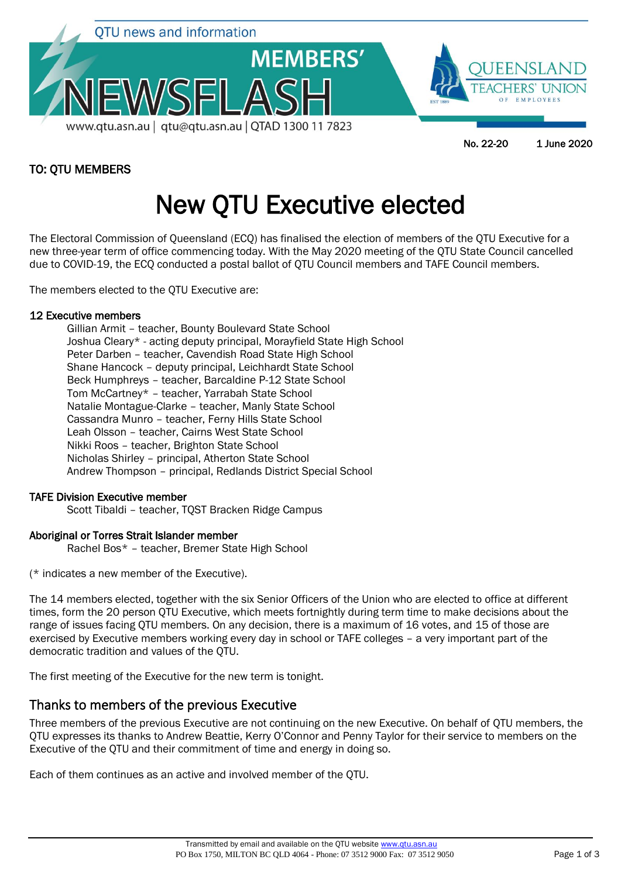

# TO: QTU MEMBERS

# New QTU Executive elected

The Electoral Commission of Queensland (ECQ) has finalised the election of members of the QTU Executive for a new three-year term of office commencing today. With the May 2020 meeting of the QTU State Council cancelled due to COVID-19, the ECQ conducted a postal ballot of QTU Council members and TAFE Council members.

The members elected to the QTU Executive are:

#### 12 Executive members

Gillian Armit – teacher, Bounty Boulevard State School Joshua Cleary\* - acting deputy principal, Morayfield State High School Peter Darben – teacher, Cavendish Road State High School Shane Hancock – deputy principal, Leichhardt State School Beck Humphreys – teacher, Barcaldine P-12 State School Tom McCartney\* – teacher, Yarrabah State School Natalie Montague-Clarke – teacher, Manly State School Cassandra Munro – teacher, Ferny Hills State School Leah Olsson – teacher, Cairns West State School Nikki Roos – teacher, Brighton State School Nicholas Shirley – principal, Atherton State School Andrew Thompson – principal, Redlands District Special School

#### TAFE Division Executive member

Scott Tibaldi – teacher, TQST Bracken Ridge Campus

#### Aboriginal or Torres Strait Islander member

Rachel Bos\* – teacher, Bremer State High School

(\* indicates a new member of the Executive).

The 14 members elected, together with the six Senior Officers of the Union who are elected to office at different times, form the 20 person QTU Executive, which meets fortnightly during term time to make decisions about the range of issues facing QTU members. On any decision, there is a maximum of 16 votes, and 15 of those are exercised by Executive members working every day in school or TAFE colleges – a very important part of the democratic tradition and values of the QTU.

The first meeting of the Executive for the new term is tonight.

# Thanks to members of the previous Executive

Three members of the previous Executive are not continuing on the new Executive. On behalf of QTU members, the QTU expresses its thanks to Andrew Beattie, Kerry O'Connor and Penny Taylor for their service to members on the Executive of the QTU and their commitment of time and energy in doing so.

Each of them continues as an active and involved member of the QTU.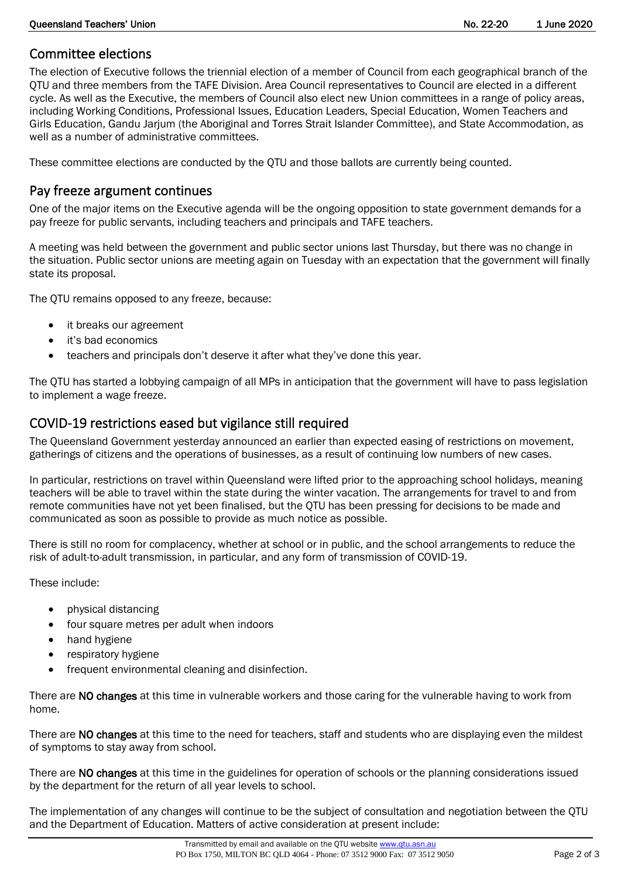## Committee elections

The election of Executive follows the triennial election of a member of Council from each geographical branch of the QTU and three members from the TAFE Division. Area Council representatives to Council are elected in a different cycle. As well as the Executive, the members of Council also elect new Union committees in a range of policy areas, including Working Conditions, Professional Issues, Education Leaders, Special Education, Women Teachers and Girls Education, Gandu Jarjum (the Aboriginal and Torres Strait Islander Committee), and State Accommodation, as well as a number of administrative committees.

These committee elections are conducted by the QTU and those ballots are currently being counted.

## Pay freeze argument continues

One of the major items on the Executive agenda will be the ongoing opposition to state government demands for a pay freeze for public servants, including teachers and principals and TAFE teachers.

A meeting was held between the government and public sector unions last Thursday, but there was no change in the situation. Public sector unions are meeting again on Tuesday with an expectation that the government will finally state its proposal.

The QTU remains opposed to any freeze, because:

- it breaks our agreement
- it's bad economics
- teachers and principals don't deserve it after what they've done this year.

The QTU has started a lobbying campaign of all MPs in anticipation that the government will have to pass legislation to implement a wage freeze.

# COVID-19 restrictions eased but vigilance still required

The Queensland Government yesterday announced an earlier than expected easing of restrictions on movement, gatherings of citizens and the operations of businesses, as a result of continuing low numbers of new cases.

In particular, restrictions on travel within Queensland were lifted prior to the approaching school holidays, meaning teachers will be able to travel within the state during the winter vacation. The arrangements for travel to and from remote communities have not yet been finalised, but the QTU has been pressing for decisions to be made and communicated as soon as possible to provide as much notice as possible.

There is still no room for complacency, whether at school or in public, and the school arrangements to reduce the risk of adult-to-adult transmission, in particular, and any form of transmission of COVID-19.

These include:

- physical distancing
- four square metres per adult when indoors
- hand hygiene
- respiratory hygiene
- frequent environmental cleaning and disinfection.

There are NO changes at this time in vulnerable workers and those caring for the vulnerable having to work from home.

There are NO changes at this time to the need for teachers, staff and students who are displaying even the mildest of symptoms to stay away from school.

There are NO changes at this time in the guidelines for operation of schools or the planning considerations issued by the department for the return of all year levels to school.

The implementation of any changes will continue to be the subject of consultation and negotiation between the QTU and the Department of Education. Matters of active consideration at present include: